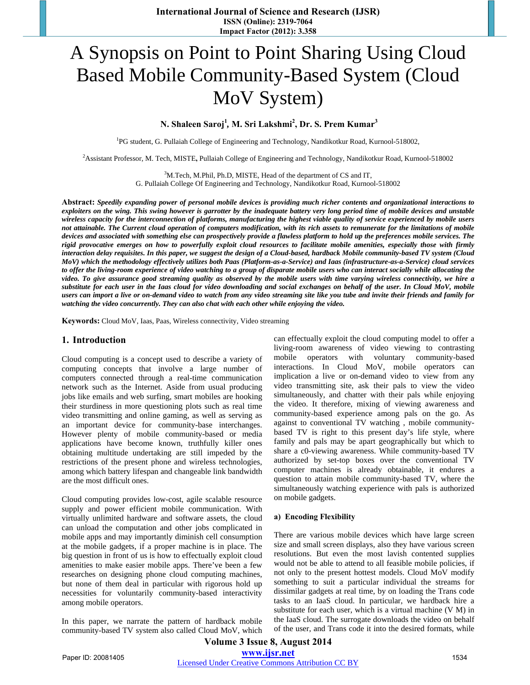# A Synopsis on Point to Point Sharing Using Cloud Based Mobile Community-Based System (Cloud MoV System)

## **N. Shaleen Saroj1** *,* **M. Sri Lakshmi<sup>2</sup> , Dr. S. Prem Kumar<sup>3</sup>**

<sup>1</sup>PG student, G. Pullaiah College of Engineering and Technology, Nandikotkur Road, Kurnool-518002,

2 Assistant Professor, M. Tech, MISTE**,** Pullaiah College of Engineering and Technology, Nandikotkur Road, Kurnool-518002

3 M.Tech, M.Phil, Ph.D, MISTE, Head of the department of CS and IT,

G. Pullaiah College Of Engineering and Technology, Nandikotkur Road, Kurnool-518002

**Abstract:** *Speedily expanding power of personal mobile devices is providing much richer contents and organizational interactions to exploiters on the wing. This swing however is garrotter by the inadequate battery very long period time of mobile devices and unstable wireless capacity for the interconnection of platforms, manufacturing the highest viable quality of service experienced by mobile users not attainable. The Current cloud operation of computers modification, with its rich assets to remunerate for the limitations of mobile devices and associated with something else can prospectively provide a flawless platform to hold up the preferences mobile services. The rigid provocative emerges on how to powerfully exploit cloud resources to facilitate mobile amenities, especially those with firmly interaction delay requisites. In this paper, we suggest the design of a Cloud-based, hardback Mobile community-based TV system (Cloud MoV) which the methodology effectively utilizes both Paas (Platform-as-a-Service) and Iaas (infrastructure-as-a-Service) cloud services*  to offer the living-room experience of video watching to a group of disparate mobile users who can interact socially while allocating the *video. To give assurance good streaming quality as observed by the mobile users with time varying wireless connectivity, we hire a substitute for each user in the Iaas cloud for video downloading and social exchanges on behalf of the user. In Cloud MoV, mobile users can import a live or on-demand video to watch from any video streaming site like you tube and invite their friends and family for watching the video concurrently. They can also chat with each other while enjoying the video.* 

**Keywords:** Cloud MoV, Iaas, Paas, Wireless connectivity, Video streaming

## **1. Introduction**

Cloud computing is a concept used to describe a variety of computing concepts that involve a large number of computers connected through a real-time communication network such as the Internet. Aside from usual producing jobs like emails and web surfing, smart mobiles are hooking their sturdiness in more questioning plots such as real time video transmitting and online gaming, as well as serving as an important device for community-base interchanges. However plenty of mobile community-based or media applications have become known, truthfully killer ones obtaining multitude undertaking are still impeded by the restrictions of the present phone and wireless technologies, among which battery lifespan and changeable link bandwidth are the most difficult ones.

Cloud computing provides low-cost, agile scalable resource supply and power efficient mobile communication. With virtually unlimited hardware and software assets, the cloud can unload the computation and other jobs complicated in mobile apps and may importantly diminish cell consumption at the mobile gadgets, if a proper machine is in place. The big question in front of us is how to effectually exploit cloud amenities to make easier mobile apps. There've been a few researches on designing phone cloud computing machines, but none of them deal in particular with rigorous hold up necessities for voluntarily community-based interactivity among mobile operators.

In this paper, we narrate the pattern of hardback mobile community-based TV system also called Cloud MoV, which can effectually exploit the cloud computing model to offer a living-room awareness of video viewing to contrasting mobile operators with voluntary community-based interactions. In Cloud MoV, mobile operators can implication a live or on-demand video to view from any video transmitting site, ask their pals to view the video simultaneously, and chatter with their pals while enjoying the video. It therefore, mixing of viewing awareness and community-based experience among pals on the go. As against to conventional TV watching , mobile communitybased TV is right to this present day's life style, where family and pals may be apart geographically but which to share a c0-viewing awareness. While community-based TV authorized by set-top boxes over the conventional TV computer machines is already obtainable, it endures a question to attain mobile community-based TV, where the simultaneously watching experience with pals is authorized on mobile gadgets.

#### **a) Encoding Flexibility**

There are various mobile devices which have large screen size and small screen displays, also they have various screen resolutions. But even the most lavish contented supplies would not be able to attend to all feasible mobile policies, if not only to the present hottest models. Cloud MoV modify something to suit a particular individual the streams for dissimilar gadgets at real time, by on loading the Trans code tasks to an IaaS cloud. In particular, we hardback hire a substitute for each user, which is a virtual machine (V M) in the IaaS cloud. The surrogate downloads the video on behalf of the user, and Trans code it into the desired formats, while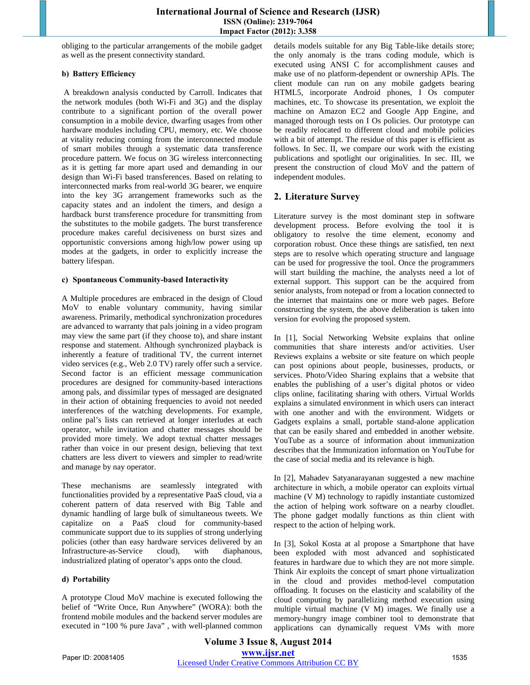obliging to the particular arrangements of the mobile gadget as well as the present connectivity standard.

### **b) Battery Efficiency**

A breakdown analysis conducted by Carroll. Indicates that the network modules (both Wi-Fi and 3G) and the display contribute to a significant portion of the overall power consumption in a mobile device, dwarfing usages from other hardware modules including CPU, memory, etc. We choose at vitality reducing coming from the interconnected module of smart mobiles through a systematic data transference procedure pattern. We focus on 3G wireless interconnecting as it is getting far more apart used and demanding in our design than Wi-Fi based transferences. Based on relating to interconnected marks from real-world 3G bearer, we enquire into the key 3G arrangement frameworks such as the capacity states and an indolent the timers, and design a hardback burst transference procedure for transmitting from the substitutes to the mobile gadgets. The burst transference procedure makes careful decisiveness on burst sizes and opportunistic conversions among high/low power using up modes at the gadgets, in order to explicitly increase the battery lifespan.

#### **c) Spontaneous Community-based Interactivity**

A Multiple procedures are embraced in the design of Cloud MoV to enable voluntary community, having similar awareness. Primarily, methodical synchronization procedures are advanced to warranty that pals joining in a video program may view the same part (if they choose to), and share instant response and statement. Although synchronized playback is inherently a feature of traditional TV, the current internet video services (e.g., Web 2.0 TV) rarely offer such a service. Second factor is an efficient message communication procedures are designed for community-based interactions among pals, and dissimilar types of messaged are designated in their action of obtaining frequencies to avoid not needed interferences of the watching developments. For example, online pal's lists can retrieved at longer interludes at each operator, while invitation and chatter messages should be provided more timely. We adopt textual chatter messages rather than voice in our present design, believing that text chatters are less divert to viewers and simpler to read/write and manage by nay operator.

These mechanisms are seamlessly integrated with functionalities provided by a representative PaaS cloud, via a coherent pattern of data reserved with Big Table and dynamic handling of large bulk of simultaneous tweets. We capitalize on a PaaS cloud for community-based communicate support due to its supplies of strong underlying policies (other than easy hardware services delivered by an Infrastructure-as-Service cloud), with diaphanous, industrialized plating of operator's apps onto the cloud.

## **d) Portability**

A prototype Cloud MoV machine is executed following the belief of "Write Once, Run Anywhere" (WORA): both the frontend mobile modules and the backend server modules are executed in "100 % pure Java" , with well-planned common details models suitable for any Big Table-like details store; the only anomaly is the trans coding module, which is executed using ANSI C for accomplishment causes and make use of no platform-dependent or ownership APIs. The client module can run on any mobile gadgets bearing HTML5, incorporate Android phones, I Os computer machines, etc. To showcase its presentation, we exploit the machine on Amazon EC2 and Google App Engine, and managed thorough tests on I Os policies. Our prototype can be readily relocated to different cloud and mobile policies with a bit of attempt. The residue of this paper is efficient as follows. In Sec. II, we compare our work with the existing publications and spotlight our originalities. In sec. III, we present the construction of cloud MoV and the pattern of independent modules.

# **2. Literature Survey**

Literature survey is the most dominant step in software development process. Before evolving the tool it is obligatory to resolve the time element, economy and corporation robust. Once these things are satisfied, ten next steps are to resolve which operating structure and language can be used for progressive the tool. Once the programmers will start building the machine, the analysts need a lot of external support. This support can be the acquired from senior analysts, from notepad or from a location connected to the internet that maintains one or more web pages. Before constructing the system, the above deliberation is taken into version for evolving the proposed system.

In [1], Social Networking Website explains that online communities that share interests and/or activities. User Reviews explains a website or site feature on which people can post opinions about people, businesses, products, or services. Photo/Video Sharing explains that a website that enables the publishing of a user's digital photos or video clips online, facilitating sharing with others. Virtual Worlds explains a simulated environment in which users can interact with one another and with the environment. Widgets or Gadgets explains a small, portable stand-alone application that can be easily shared and embedded in another website. YouTube as a source of information about immunization describes that the Immunization information on YouTube for the case of social media and its relevance is high.

In [2], Mahadev Satyanarayanan suggested a new machine architecture in which, a mobile operator can exploits virtual machine (V M) technology to rapidly instantiate customized the action of helping work software on a nearby cloudlet. The phone gadget modally functions as thin client with respect to the action of helping work.

In [3], Sokol Kosta at al propose a Smartphone that have been exploded with most advanced and sophisticated features in hardware due to which they are not more simple. Think Air exploits the concept of smart phone virtualization in the cloud and provides method-level computation offloading. It focuses on the elasticity and scalability of the cloud computing by parallelizing method execution using multiple virtual machine (V M) images. We finally use a memory-hungry image combiner tool to demonstrate that applications can dynamically request VMs with more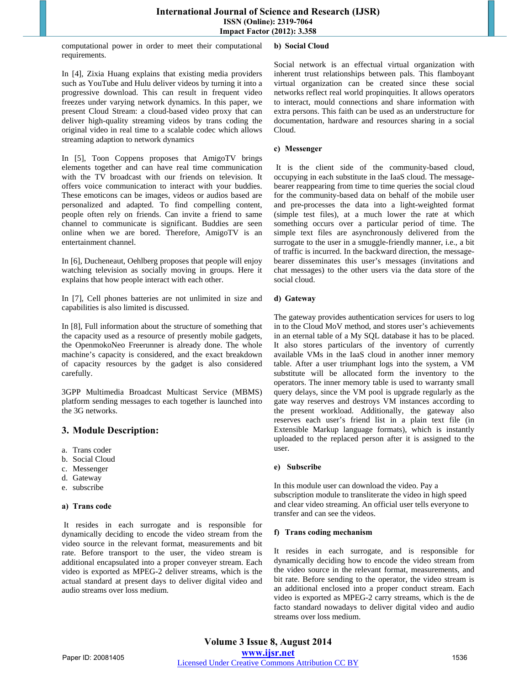computational power in order to meet their computational requirements.

In [4], Zixia Huang explains that existing media providers such as YouTube and Hulu deliver videos by turning it into a progressive download. This can result in frequent video freezes under varying network dynamics. In this paper, we present Cloud Stream: a cloud-based video proxy that can deliver high-quality streaming videos by trans coding the original video in real time to a scalable codec which allows streaming adaption to network dynamics

In [5], Toon Coppens proposes that AmigoTV brings elements together and can have real time communication with the TV broadcast with our friends on television. It offers voice communication to interact with your buddies. These emoticons can be images, videos or audios based are personalized and adapted. To find compelling content, people often rely on friends. Can invite a friend to same channel to communicate is significant. Buddies are seen online when we are bored. Therefore, AmigoTV is an entertainment channel.

In [6], Ducheneaut, Oehlberg proposes that people will enjoy watching television as socially moving in groups. Here it explains that how people interact with each other.

In [7], Cell phones batteries are not unlimited in size and capabilities is also limited is discussed.

In [8], Full information about the structure of something that the capacity used as a resource of presently mobile gadgets, the OpenmokoNeo Freerunner is already done. The whole machine's capacity is considered, and the exact breakdown of capacity resources by the gadget is also considered carefully.

3GPP Multimedia Broadcast Multicast Service (MBMS) platform sending messages to each together is launched into the 3G networks.

## **3. Module Description:**

- a. Trans coder
- b. Social Cloud
- c. Messenger
- d. Gateway
- e. subscribe

#### **a) Trans code**

It resides in each surrogate and is responsible for dynamically deciding to encode the video stream from the video source in the relevant format, measurements and bit rate. Before transport to the user, the video stream is additional encapsulated into a proper conveyer stream. Each video is exported as MPEG-2 deliver streams, which is the actual standard at present days to deliver digital video and audio streams over loss medium.

#### **b) Social Cloud**

Social network is an effectual virtual organization with inherent trust relationships between pals. This flamboyant virtual organization can be created since these social networks reflect real world propinquities. It allows operators to interact, mould connections and share information with extra persons. This faith can be used as an understructure for documentation, hardware and resources sharing in a social Cloud.

#### **c) Messenger**

It is the client side of the community-based cloud, occupying in each substitute in the IaaS cloud. The messagebearer reappearing from time to time queries the social cloud for the community-based data on behalf of the mobile user and pre-processes the data into a light-weighted format (simple test files), at a much lower the rate at which something occurs over a particular period of time. The simple text files are asynchronously delivered from the surrogate to the user in a smuggle-friendly manner, i.e., a bit of traffic is incurred. In the backward direction, the messagebearer disseminates this user's messages (invitations and chat messages) to the other users via the data store of the social cloud.

#### **d) Gateway**

The gateway provides authentication services for users to log in to the Cloud MoV method, and stores user's achievements in an eternal table of a My SQL database it has to be placed. It also stores particulars of the inventory of currently available VMs in the IaaS cloud in another inner memory table. After a user triumphant logs into the system, a VM substitute will be allocated form the inventory to the operators. The inner memory table is used to warranty small query delays, since the VM pool is upgrade regularly as the gate way reserves and destroys VM instances according to the present workload. Additionally, the gateway also reserves each user's friend list in a plain text file (in Extensible Markup language formats), which is instantly uploaded to the replaced person after it is assigned to the user.

#### **e) Subscribe**

In this module user can download the video. Pay a subscription module to transliterate the video in high speed and clear video streaming. An official user tells everyone to transfer and can see the videos.

#### **f) Trans coding mechanism**

It resides in each surrogate, and is responsible for dynamically deciding how to encode the video stream from the video source in the relevant format, measurements, and bit rate. Before sending to the operator, the video stream is an additional enclosed into a proper conduct stream. Each video is exported as MPEG-2 carry streams, which is the de facto standard nowadays to deliver digital video and audio streams over loss medium.